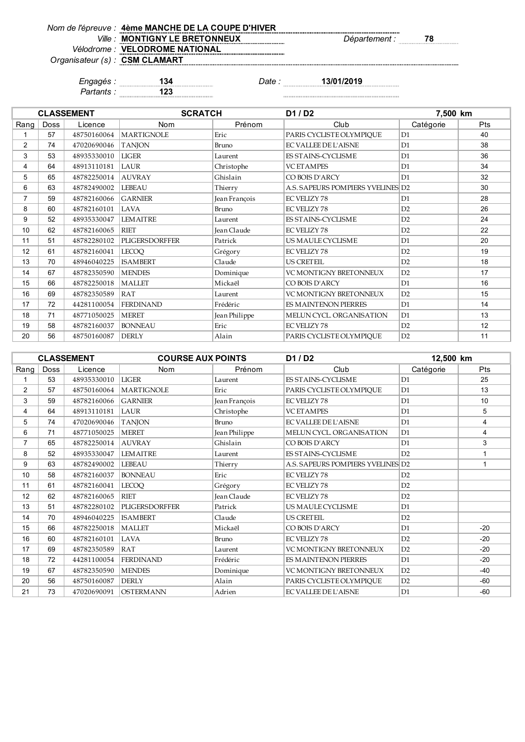| Nom de l'épreuve : 4ème MANCHE DE LA COUPE D'HIVER |
|----------------------------------------------------|
| Ville: MONTIGNY LE BRETONNEUX                      |
| Vélodrome : VELODROME NATIONAL                     |
| .                                                  |

*Ville : Département :* **78**

*Organisateur (s) :*

**CSM CLAMART**

*Engagés :* **134** *Date :* **13/01/2019**

*Partants :* **123**

|                |             | <b>CLASSEMENT</b> | <b>SCRATCH</b>        |               | D1 / D2                           | 7,500 km       |            |
|----------------|-------------|-------------------|-----------------------|---------------|-----------------------------------|----------------|------------|
| Rang           | <b>Doss</b> | Licence           | Nom                   | Prénom        | Club                              | Catégorie      | <b>Pts</b> |
|                | 57          | 48750160064       | <b>MARTIGNOLE</b>     | Eric          | PARIS CYCLISTE OLYMPIOUE          | D1             | 40         |
| $\overline{2}$ | 74          | 47020690046       | <b>TANJON</b>         | Bruno         | <b>EC VALLEE DE L'AISNE</b>       | D1             | 38         |
| 3              | 53          | 48935330010       | <b>LIGER</b>          | Laurent       | ES STAINS-CYCLISME                | D1             | 36         |
| 4              | 64          | 48913110181       | LAUR                  | Christophe    | <b>VC ETAMPES</b>                 | D1             | 34         |
| 5              | 65          | 48782250014       | <b>AUVRAY</b>         | Ghislain      | CO BOIS D'ARCY                    | D1             | 32         |
| 6              | 63          | 48782490002       | LEBEAU                | Thierry       | A.S. SAPEURS POMPIERS YVELINES D2 |                | 30         |
| $\overline{7}$ | 59          | 48782160066       | <b>GARNIER</b>        | Jean François | <b>EC VELIZY 78</b>               | D <sub>1</sub> | 28         |
| 8              | 60          | 48782160101       | <b>LAVA</b>           | Bruno         | <b>EC VELIZY 78</b>               | D2             | 26         |
| 9              | 52          | 48935330047       | <b>LEMAITRE</b>       | Laurent       | <b>ES STAINS-CYCLISME</b>         | D2             | 24         |
| 10             | 62          | 48782160065       | <b>RIET</b>           | Jean Claude   | <b>EC VELIZY 78</b>               | D2             | 22         |
| 11             | 51          | 48782280102       | <b>PLIGERSDORFFER</b> | Patrick       | US MAULE CYCLISME                 | D1             | 20         |
| 12             | 61          | 48782160041       | <b>LECOO</b>          | Grégory       | <b>EC VELIZY 78</b>               | D2             | 19         |
| 13             | 70          | 48946040225       | <b>ISAMBERT</b>       | Claude        | <b>US CRETEIL</b>                 | D2             | 18         |
| 14             | 67          | 48782350590       | <b>MENDES</b>         | Dominique     | VC MONTIGNY BRETONNEUX            | D2             | 17         |
| 15             | 66          | 48782250018       | <b>MALLET</b>         | Mickaël       | CO BOIS D'ARCY                    | D1             | 16         |
| 16             | 69          | 48782350589       | RAT                   | Laurent       | <b>VC MONTIGNY BRETONNEUX</b>     | D2             | 15         |
| 17             | 72          | 44281100054       | <b>FERDINAND</b>      | Frédéric      | ES MAINTENON PIERRES              | D <sub>1</sub> | 14         |
| 18             | 71          | 48771050025       | <b>MERET</b>          | Jean Philippe | MELUN CYCL. ORGANISATION          | D1             | 13         |
| 19             | 58          | 48782160037       | <b>BONNEAU</b>        | Eric          | <b>EC VELIZY 78</b>               | D2             | 12         |
| 20             | 56          | 48750160087       | <b>DERLY</b>          | Alain         | PARIS CYCLISTE OLYMPIOUE          | D2             | 11         |

|                |             | <b>CLASSEMENT</b> | <b>COURSE AUX POINTS</b> |                    | D1/D2                             | 12,500 km      |                |
|----------------|-------------|-------------------|--------------------------|--------------------|-----------------------------------|----------------|----------------|
| Rang           | <b>Doss</b> | Licence           | <b>Nom</b>               | Prénom             | Club                              | Catégorie      | <b>Pts</b>     |
|                | 53          | 48935330010       | <b>LIGER</b>             | Laurent            | <b>ES STAINS-CYCLISME</b>         | D1             | 25             |
| $\overline{2}$ | 57          | 48750160064       | <b>MARTIGNOLE</b>        | Eric               | PARIS CYCLISTE OLYMPIQUE          | D1             | 13             |
| 3              | 59          | 48782160066       | <b>GARNIER</b>           | Jean François      | <b>EC VELIZY 78</b>               | D <sub>1</sub> | 10             |
| 4              | 64          | 48913110181       | LAUR                     | Christophe         | <b>VC ETAMPES</b>                 | D1             | 5              |
| 5              | 74          | 47020690046       | <b>TANION</b>            | Bruno              | EC VALLEE DE L'AISNE              | D1             | $\overline{4}$ |
| 6              | 71          | 48771050025       | <b>MERET</b>             | Jean Philippe      | MELUN CYCL. ORGANISATION          | D <sub>1</sub> | 4              |
| $\overline{7}$ | 65          | 48782250014       | <b>AUVRAY</b>            | Ghislain           | CO BOIS D'ARCY                    | D1             | 3              |
| 8              | 52          | 48935330047       | <b>LEMAITRE</b>          | Laurent            | ES STAINS-CYCLISME                | D2             | 1              |
| 9              | 63          | 48782490002       | <b>LEBEAU</b>            | Thierry            | A.S. SAPEURS POMPIERS YVELINES D2 |                | 1              |
| 10             | 58          | 48782160037       | <b>BONNEAU</b>           | Eric               | <b>EC VELIZY 78</b>               | D2             |                |
| 11             | 61          | 48782160041       | <b>LECOQ</b>             | Grégory            | <b>EC VELIZY 78</b>               | D2             |                |
| 12             | 62          | 48782160065       | <b>RIET</b>              | <b>Jean Claude</b> | <b>EC VELIZY 78</b>               | D2             |                |
| 13             | 51          | 48782280102       | <b>PLIGERSDORFFER</b>    | Patrick            | US MAULE CYCLISME                 | D1             |                |
| 14             | 70          | 48946040225       | <b>ISAMBERT</b>          | Claude             | <b>US CRETEIL</b>                 | D2             |                |
| 15             | 66          | 48782250018       | <b>MALLET</b>            | Mickaël            | CO BOIS D'ARCY                    | D1             | $-20$          |
| 16             | 60          | 48782160101       | LAVA                     | Bruno              | <b>EC VELIZY 78</b>               | D2             | $-20$          |
| 17             | 69          | 48782350589       | RAT                      | Laurent            | <b>VC MONTIGNY BRETONNEUX</b>     | D2             | $-20$          |
| 18             | 72          | 44281100054       | <b>FERDINAND</b>         | Frédéric           | ES MAINTENON PIERRES              | D1             | $-20$          |
| 19             | 67          | 48782350590       | <b>MENDES</b>            | Dominique          | <b>VC MONTIGNY BRETONNEUX</b>     | D2             | $-40$          |
| 20             | 56          | 48750160087       | <b>DERLY</b>             | Alain              | PARIS CYCLISTE OLYMPIQUE          | D2             | -60            |
| 21             | 73          | 47020690091       | <b>OSTERMANN</b>         | Adrien             | <b>EC VALLEE DE L'AISNE</b>       | D <sub>1</sub> | -60            |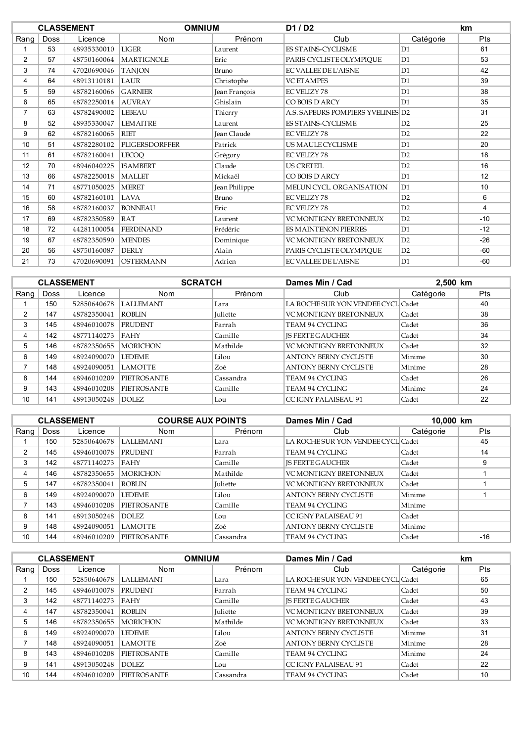|                |             | <b>CLASSEMENT</b> | <b>OMNIUM</b>         |                    | D1/D2                             |                | km             |
|----------------|-------------|-------------------|-----------------------|--------------------|-----------------------------------|----------------|----------------|
| Rang           | <b>Doss</b> | Licence           | Nom                   | Prénom             | Club                              | Catégorie      | Pts            |
|                | 53          | 48935330010       | <b>LIGER</b>          | Laurent            | <b>FS STAINS-CYCLISME</b>         | D1             | 61             |
| $\overline{2}$ | 57          | 48750160064       | <b>MARTIGNOLE</b>     | Eric               | PARIS CYCLISTE OLYMPIQUE          | D1             | 53             |
| 3              | 74          | 47020690046       | <b>TANION</b>         | Bruno              | <b>EC VALLEE DE L'AISNE</b>       | D1             | 42             |
| 4              | 64          | 48913110181       | LAUR                  | Christophe         | <b>VCETAMPES</b>                  | D1             | 39             |
| 5              | 59          | 48782160066       | <b>GARNIER</b>        | Jean François      | <b>EC VELIZY 78</b>               | D1             | 38             |
| 6              | 65          | 48782250014       | <b>AUVRAY</b>         | Ghislain           | CO BOIS D'ARCY                    | D <sub>1</sub> | 35             |
| $\overline{7}$ | 63          | 48782490002       | <b>LEBEAU</b>         | Thierry            | A.S. SAPEURS POMPIERS YVELINES D2 |                | 31             |
| 8              | 52          | 48935330047       | <b>LEMAITRE</b>       | Laurent            | ES STAINS-CYCLISME                | D2             | 25             |
| 9              | 62          | 48782160065       | <b>RIET</b>           | <b>Jean Claude</b> | <b>EC VELIZY 78</b>               | D2             | 22             |
| 10             | 51          | 48782280102       | <b>PLIGERSDORFFER</b> | Patrick            | US MAULE CYCLISME                 | D1             | 20             |
| 11             | 61          | 48782160041       | <b>LECOO</b>          | Grégory            | <b>EC VELIZY 78</b>               | D2             | 18             |
| 12             | 70          | 48946040225       | <b>ISAMBERT</b>       | Claude             | <b>US CRETEIL</b>                 | D2             | 16             |
| 13             | 66          | 48782250018       | <b>MALLET</b>         | Mickaël            | CO BOIS D'ARCY                    | D1             | 12             |
| 14             | 71          | 48771050025       | <b>MERET</b>          | Jean Philippe      | MELUN CYCL. ORGANISATION          | D1             | 10             |
| 15             | 60          | 48782160101       | LAVA                  | Bruno              | <b>EC VELIZY 78</b>               | D2             | 6              |
| 16             | 58          | 48782160037       | <b>BONNEAU</b>        | Eric               | <b>EC VELIZY 78</b>               | D2             | $\overline{4}$ |
| 17             | 69          | 48782350589       | <b>RAT</b>            | Laurent            | <b>VC MONTIGNY BRETONNEUX</b>     | D2             | $-10$          |
| 18             | 72          | 44281100054       | <b>FERDINAND</b>      | Frédéric           | <b>ES MAINTENON PIERRES</b>       | D1             | $-12$          |
| 19             | 67          | 48782350590       | <b>MENDES</b>         | Dominique          | VC MONTIGNY BRETONNEUX            | D2             | $-26$          |
| 20             | 56          | 48750160087       | <b>DERLY</b>          | Alain              | PARIS CYCLISTE OLYMPIOUE          | D2             | $-60$          |
| 21             | 73          | 47020690091       | <b>OSTERMANN</b>      | Adrien             | <b>EC VALLEE DE L'AISNE</b>       | D1             | $-60$          |

|      |      | <b>CLASSEMENT</b> | <b>SCRATCH</b>     |                 | Dames Min / Cad                    | 2,500 km  |            |
|------|------|-------------------|--------------------|-----------------|------------------------------------|-----------|------------|
| Rang | Doss | Licence           | <b>Nom</b>         | Prénom          | Club                               | Catégorie | <b>Pts</b> |
|      | 150  | 52850640678       | <b>LALLEMANT</b>   | Lara            | LA ROCHE SUR YON VENDEE CYCL Cadet |           | 40         |
| C    | 147  | 48782350041       | ROBLIN             | <b>Iuliette</b> | <b>VC MONTIGNY BRETONNEUX</b>      | Cadet     | 38         |
| 3    | 145  | 48946010078       | <b>PRUDENT</b>     | Farrah          | TEAM 94 CYCLING                    | Cadet     | 36         |
| 4    | 142  | 48771140273       | <b>FAHY</b>        | Camille         | <b>IS FERTE GAUCHER</b>            | Cadet     | 34         |
| 5    | 146  | 48782350655       | <b>MORICHON</b>    | Mathilde        | <b>VC MONTIGNY BRETONNEUX</b>      | Cadet     | 32         |
| 6    | 149  | 48924090070       | <b>LEDEME</b>      | Lilou           | <b>ANTONY BERNY CYCLISTE</b>       | Minime    | 30         |
| ⇁    | 148  | 48924090051       | <b>LAMOTTE</b>     | Zoé             | <b>ANTONY BERNY CYCLISTE</b>       | Minime    | 28         |
| 8    | 144  | 48946010209       | <b>PIETROSANTE</b> | Cassandra       | TEAM 94 CYCLING                    | Cadet     | 26         |
| 9    | 143  | 48946010208       | <b>PIETROSANTE</b> | Camille         | TEAM 94 CYCLING                    | Minime    | 24         |
| 10   | 141  | 48913050248       | DOLEZ.             | Lou             | CC IGNY PALAISEAU 91               | Cadet     | 22         |

|      |             | <b>CLASSEMENT</b> | <b>COURSE AUX POINTS</b> |                 | Dames Min / Cad                    |           | 10,000 km  |  |
|------|-------------|-------------------|--------------------------|-----------------|------------------------------------|-----------|------------|--|
| Rang | <b>Doss</b> | Licence           | <b>Nom</b>               | Prénom          | Club                               | Catégorie | <b>Pts</b> |  |
|      | 150         | 52850640678       | <b>LALLEMANT</b>         | Lara            | LA ROCHE SUR YON VENDEE CYCL Cadet |           | 45         |  |
| 2    | 145         | 48946010078       | <b>PRUDENT</b>           | Farrah          | TEAM 94 CYCLING                    | Cadet     | 14         |  |
| 3    | 142         | 48771140273       | FAHY                     | Camille         | <b>IS FERTE GAUCHER</b>            | Cadet     | 9          |  |
| 4    | 146         | 48782350655       | <b>MORICHON</b>          | Mathilde        | VC MONTIGNY BRETONNEUX             | Cadet     |            |  |
| 5    | 147         | 48782350041       | ROBI IN                  | <b>Juliette</b> | <b>VC MONTIGNY BRETONNEUX</b>      | Cadet     |            |  |
| 6    | 149         | 48924090070       | <b>LEDEME</b>            | Lilou           | <b>ANTONY BERNY CYCLISTE</b>       | Minime    |            |  |
|      | 143         | 48946010208       | <b>PIETROSANTE</b>       | Camille         | TEAM 94 CYCLING                    | Minime    |            |  |
| 8    | 141         | 48913050248       | DOLEZ.                   | Lou             | CC IGNY PALAISEAU 91               | Cadet     |            |  |
| 9    | 148         | 48924090051       | <b>LAMOTTE</b>           | Zoé             | <b>ANTONY BERNY CYCLISTE</b>       | Minime    |            |  |
| 10   | 144         | 48946010209       | <b>PIETROSANTE</b>       | Cassandra       | TEAM 94 CYCLING                    | Cadet     | $-16$      |  |

|      |             | <b>CLASSEMENT</b> | <b>OMNIUM</b>      |                 | Dames Min / Cad                    |           |            |
|------|-------------|-------------------|--------------------|-----------------|------------------------------------|-----------|------------|
| Rang | <b>Doss</b> | Licence           | <b>Nom</b>         | Prénom          | Club                               | Catégorie | <b>Pts</b> |
|      | 150         | 52850640678       | <b>LALLEMANT</b>   | Lara            | LA ROCHE SUR YON VENDEE CYCL Cadet |           | 65         |
| 2    | 145         | 48946010078       | PRUDENT            | Farrah          | <b>TEAM 94 CYCLING</b>             | Cadet     | 50         |
| 3    | 142         | 48771140273       | <b>FAHY</b>        | Camille         | <b>IS FERTE GAUCHER</b>            | Cadet     | 43         |
| 4    | 147         | 48782350041       | ROBLIN             | <b>Iuliette</b> | <b>VC MONTIGNY BRETONNEUX</b>      | Cadet     | 39         |
| 5    | 146         | 48782350655       | <b>MORICHON</b>    | Mathilde        | VC MONTIGNY BRETONNEUX             | Cadet     | 33         |
| 6    | 149         | 48924090070       | <b>LEDEME</b>      | Lilou           | <b>ANTONY BERNY CYCLISTE</b>       | Minime    | 31         |
|      | 148         | 48924090051       | <b>LAMOTTE</b>     | Zoé             | <b>ANTONY BERNY CYCLISTE</b>       | Minime    | 28         |
| 8    | 143         | 48946010208       | <b>PIETROSANTE</b> | Camille         | <b>TEAM 94 CYCLING</b>             | Minime    | 24         |
| 9    | 141         | 48913050248       | DOLEZ.             | Lou             | CC IGNY PALAISEAU 91               | Cadet     | 22         |
| 10   | 144         | 48946010209       | <b>PIETROSANTE</b> | Cassandra       | <b>TEAM 94 CYCLING</b>             | Cadet     | 10         |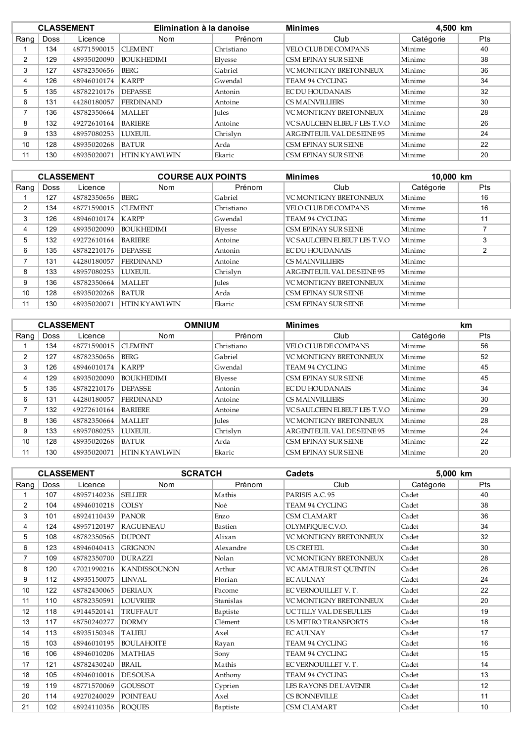|      |      | <b>CLASSEMENT</b> | Elimination à la danoise |              | <b>Minimes</b>                      | 4,500 km  |            |
|------|------|-------------------|--------------------------|--------------|-------------------------------------|-----------|------------|
| Rang | Doss | Licence           | <b>Nom</b>               | Prénom       | Club                                | Catégorie | <b>Pts</b> |
|      | 134  | 48771590015       | <b>CLEMENT</b>           | Christiano   | VELO CLUB DE COMPANS                | Minime    | 40         |
| 2    | 129  | 48935020090       | <b>BOUKHEDIMI</b>        | Elyesse      | CSM EPINAY SUR SEINE                | Minime    | 38         |
| 3    | 127  | 48782350656       | BERG                     | Gabriel      | <b>VC MONTIGNY BRETONNEUX</b>       | Minime    | 36         |
| 4    | 126  | 48946010174       | <b>KARPP</b>             | Gwendal      | TEAM 94 CYCLING                     | Minime    | 34         |
| 5    | 135  | 48782210176       | <b>DEPASSE</b>           | Antonin      | EC DU HOUDANAIS                     | Minime    | 32         |
| 6    | 131  | 44280180057       | <b>FERDINAND</b>         | Antoine      | <b>CS MAINVILLIERS</b>              | Minime    | 30         |
|      | 136  | 48782350664       | MALLET                   | <b>Jules</b> | <b>VC MONTIGNY BRETONNEUX</b>       | Minime    | 28         |
| 8    | 132  | 49272610164       | <b>BARIERE</b>           | Antoine      | <b>VC SAULCEEN ELBEUF LES T.V.O</b> | Minime    | 26         |
| 9    | 133  | 48957080253       | <b>LUXEUIL</b>           | Chrislyn     | ARGENTEUIL VAL DE SEINE 95          | Minime    | 24         |
| 10   | 128  | 48935020268       | <b>BATUR</b>             | Arda         | CSM EPINAY SUR SEINE                | Minime    | 22         |
| 11   | 130  | 48935020071       | <b>HTIN KYAWLWIN</b>     | Ekaric       | CSM EPINAY SUR SEINE                | Minime    | 20         |

|      |             | <b>CLASSEMENT</b> | <b>COURSE AUX POINTS</b> |            | <b>Minimes</b>                      | 10,000 km |                |
|------|-------------|-------------------|--------------------------|------------|-------------------------------------|-----------|----------------|
| Rang | <b>Doss</b> | Licence           | <b>Nom</b>               | Prénom     | Club                                | Catégorie | Pts            |
|      | 127         | 48782350656       | <b>BERG</b>              | Gabriel    | <b>VC MONTIGNY BRETONNEUX</b>       | Minime    | 16             |
| 2    | 134         | 48771590015       | <b>CLEMENT</b>           | Christiano | VELO CLUB DE COMPANS                | Minime    | 16             |
| 3    | 126         | 48946010174       | <b>KARPP</b>             | Gwendal    | TEAM 94 CYCLING                     | Minime    | 11             |
| 4    | 129         | 48935020090       | <b>BOUKHEDIMI</b>        | Elyesse    | CSM EPINAY SUR SEINE                | Minime    |                |
| 5    | 132         | 49272610164       | <b>BARIERE</b>           | Antoine    | <b>VC SAULCEEN ELBEUF LES T.V.O</b> | Minime    | 3              |
| 6    | 135         | 48782210176       | <b>DEPASSE</b>           | Antonin    | <b>EC DU HOUDANAIS</b>              | Minime    | $\overline{2}$ |
|      | 131         | 44280180057       | <b>FERDINAND</b>         | Antoine    | <b>CS MAINVILLIERS</b>              | Minime    |                |
| 8    | 133         | 48957080253       | <b>LUXEUIL</b>           | Chrislyn   | ARGENTEUIL VAL DE SEINE 95          | Minime    |                |
| 9    | 136         | 48782350664       | MALLET                   | Jules      | <b>VC MONTIGNY BRETONNEUX</b>       | Minime    |                |
| 10   | 128         | 48935020268       | <b>BATUR</b>             | Arda       | CSM EPINAY SUR SEINE                | Minime    |                |
| 11   | 130         | 48935020071       | <b>HTIN KYAWLWIN</b>     | Ekaric     | CSM EPINAY SUR SEINE                | Minime    |                |

|      |             | <b>CLASSEMENT</b> | <b>OMNIUM</b>        |              | <b>Minimes</b>                |           | km  |
|------|-------------|-------------------|----------------------|--------------|-------------------------------|-----------|-----|
| Rang | <b>Doss</b> | Licence           | <b>Nom</b>           | Prénom       | Club                          | Catégorie | Pts |
|      | 134         | 48771590015       | <b>CLEMENT</b>       | Christiano   | VELO CLUB DE COMPANS          | Minime    | 56  |
| 2    | 127         | 48782350656       | BERG                 | Gabriel      | <b>VC MONTIGNY BRETONNEUX</b> | Minime    | 52  |
| 3    | 126         | 48946010174       | <b>KARPP</b>         | Gwendal      | <b>TEAM 94 CYCLING</b>        | Minime    | 45  |
| 4    | 129         | 48935020090       | <b>BOUKHEDIMI</b>    | Elyesse      | CSM EPINAY SUR SEINE          | Minime    | 45  |
| 5    | 135         | 48782210176       | <b>DEPASSE</b>       | Antonin      | EC DU HOUDANAIS               | Minime    | 34  |
| 6    | 131         | 44280180057       | <b>FERDINAND</b>     | Antoine      | <b>CS MAINVILLIERS</b>        | Minime    | 30  |
| 7    | 132         | 49272610164       | <b>BARIERE</b>       | Antoine      | VC SAULCEEN ELBEUF LES T.V.O  | Minime    | 29  |
| 8    | 136         | 48782350664       | <b>MALLET</b>        | <b>Iules</b> | <b>VC MONTIGNY BRETONNEUX</b> | Minime    | 28  |
| 9    | 133         | 48957080253       | <b>LUXEUIL</b>       | Chrislyn     | ARGENTEUIL VAL DE SEINE 95    | Minime    | 24  |
| 10   | 128         | 48935020268       | <b>BATUR</b>         | Arda         | CSM EPINAY SUR SEINE          | Minime    | 22  |
| 11   | 130         | 48935020071       | <b>HTIN KYAWLWIN</b> | Ekaric       | <b>CSM EPINAY SUR SEINE</b>   | Minime    | 20  |

|                |             | <b>CLASSEMENT</b> | <b>SCRATCH</b>      |           | <b>Cadets</b>                 | 5,000 km  |            |
|----------------|-------------|-------------------|---------------------|-----------|-------------------------------|-----------|------------|
| Rang           | <b>Doss</b> | Licence           | <b>Nom</b>          | Prénom    | Club                          | Catégorie | <b>Pts</b> |
|                | 107         | 48957140236       | <b>SELLIER</b>      | Mathis    | PARISIS A.C. 95               | Cadet     | 40         |
| $\overline{2}$ | 104         | 48946010218       | <b>COLSY</b>        | Noé       | <b>TEAM 94 CYCLING</b>        | Cadet     | 38         |
| 3              | 101         | 48924110439       | <b>PANOR</b>        | Enzo      | <b>CSM CLAMART</b>            | Cadet     | 36         |
| 4              | 124         | 48957120197       | <b>RAGUENEAU</b>    | Bastien   | OLYMPIQUE C.V.O.              | Cadet     | 34         |
| 5              | 108         | 48782350565       | <b>DUPONT</b>       | Alixan    | <b>VC MONTIGNY BRETONNEUX</b> | Cadet     | 32         |
| 6              | 123         | 48946040413       | <b>GRIGNON</b>      | Alexandre | <b>US CRETEIL</b>             | Cadet     | 30         |
| $\overline{7}$ | 109         | 48782350700       | <b>DURAZZI</b>      | Nolan     | <b>VC MONTIGNY BRETONNEUX</b> | Cadet     | 28         |
| 8              | 120         | 47021990216       | <b>KANDISSOUNON</b> | Arthur    | VC AMATEUR ST QUENTIN         | Cadet     | 26         |
| 9              | 112         | 48935150075       | <b>LINVAL</b>       | Florian   | <b>EC AULNAY</b>              | Cadet     | 24         |
| 10             | 122         | 48782430065       | <b>DERIAUX</b>      | Pacome    | EC VERNOUILLET V.T.           | Cadet     | 22         |
| 11             | 110         | 48782350591       | <b>LOUVRIER</b>     | Stanislas | <b>VC MONTIGNY BRETONNEUX</b> | Cadet     | 20         |
| 12             | 118         | 49144520141       | TRUFFAUT            | Baptiste  | <b>UCTILLY VAL DESEULLES</b>  | Cadet     | 19         |
| 13             | 117         | 48750240277       | <b>DORMY</b>        | Clément   | US METRO TRANSPORTS           | Cadet     | 18         |
| 14             | 113         | 48935150348       | <b>TALIEU</b>       | Axel      | <b>EC AULNAY</b>              | Cadet     | 17         |
| 15             | 103         | 48946010195       | <b>BOULAHOITE</b>   | Rayan     | <b>TEAM 94 CYCLING</b>        | Cadet     | 16         |
| 16             | 106         | 48946010206       | <b>MATHIAS</b>      | Sony      | <b>TEAM 94 CYCLING</b>        | Cadet     | 15         |
| 17             | 121         | 48782430240       | <b>BRAIL</b>        | Mathis    | EC VERNOUILLET V.T.           | Cadet     | 14         |
| 18             | 105         | 48946010016       | <b>DESOUSA</b>      | Anthony   | <b>TEAM 94 CYCLING</b>        | Cadet     | 13         |
| 19             | 119         | 48771570069       | <b>GOUSSOT</b>      | Cyprien   | LES RAYONS DE L'AVENIR        | Cadet     | 12         |
| 20             | 114         | 49270240029       | <b>POINTEAU</b>     | Axel      | CS BONNEVILLE                 | Cadet     | 11         |
| 21             | 102         | 48924110356       | <b>ROQUES</b>       | Baptiste  | <b>CSM CLAMART</b>            | Cadet     | 10         |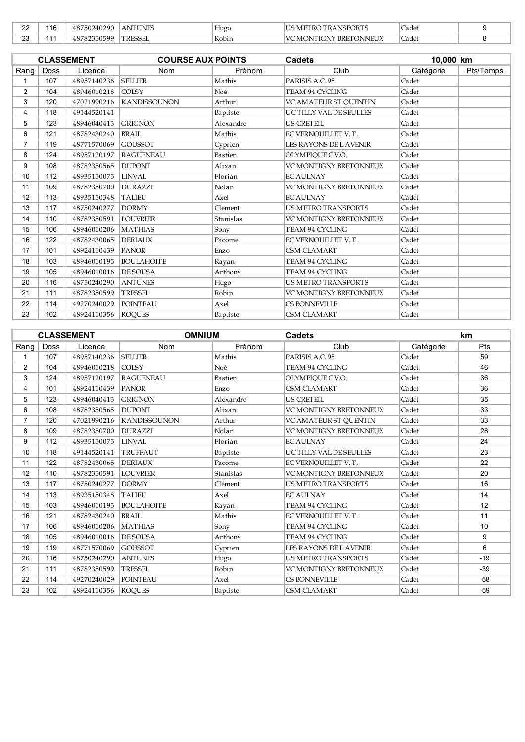| $\sim$<br>-44 | 16 | 1290<br>$^{\prime}$ 502402<br>48 | <b>ANTUNES</b> | Hugo  | NSPORT?<br>- K A<br>- IVI<br>v                                                 | Cadet                             |  |
|---------------|----|----------------------------------|----------------|-------|--------------------------------------------------------------------------------|-----------------------------------|--|
| $\sim$<br>ںے  |    | nsoc<br>. .                      | TRESSEL        | Robin | <b>TONNEUA</b><br>´BRE.<br>$\frac{1}{2}$<br>ΉС.<br>$\mathbf{v}$<br>יחר<br>NA C | $\overline{\phantom{0}}$<br>Cadet |  |

|                |             | <b>CLASSEMENT</b> | <b>COURSE AUX POINTS</b> |           | <b>Cadets</b>                 | 10,000 km |           |
|----------------|-------------|-------------------|--------------------------|-----------|-------------------------------|-----------|-----------|
| Rang           | <b>Doss</b> | Licence           | <b>Nom</b>               | Prénom    | Club                          | Catégorie | Pts/Temps |
| 1              | 107         | 48957140236       | <b>SELLIER</b>           | Mathis    | PARISIS A.C. 95               | Cadet     |           |
| $\overline{2}$ | 104         | 48946010218       | <b>COLSY</b>             | Noé       | <b>TEAM 94 CYCLING</b>        | Cadet     |           |
| 3              | 120         | 47021990216       | <b>KANDISSOUNON</b>      | Arthur    | VC AMATEUR ST OUENTIN         | Cadet     |           |
| 4              | 118         | 49144520141       |                          | Baptiste  | UCTILLY VAL DESEULLES         | Cadet     |           |
| 5              | 123         | 48946040413       | <b>GRIGNON</b>           | Alexandre | <b>US CRETEIL</b>             | Cadet     |           |
| 6              | 121         | 48782430240       | <b>BRAIL</b>             | Mathis    | EC VERNOUILLET V.T.           | Cadet     |           |
| $\overline{7}$ | 119         | 48771570069       | <b>GOUSSOT</b>           | Cyprien   | LES RAYONS DE L'AVENIR        | Cadet     |           |
| 8              | 124         | 48957120197       | <b>RAGUENEAU</b>         | Bastien   | OLYMPIOUE C.V.O.              | Cadet     |           |
| 9              | 108         | 48782350565       | <b>DUPONT</b>            | Alixan    | <b>VC MONTIGNY BRETONNEUX</b> | Cadet     |           |
| 10             | 112         | 48935150075       | <b>LINVAL</b>            | Florian   | <b>EC AULNAY</b>              | Cadet     |           |
| 11             | 109         | 48782350700       | <b>DURAZZI</b>           | Nolan     | <b>VC MONTIGNY BRETONNEUX</b> | Cadet     |           |
| 12             | 113         | 48935150348       | <b>TALIEU</b>            | Axel      | <b>EC AULNAY</b>              | Cadet     |           |
| 13             | 117         | 48750240277       | <b>DORMY</b>             | Clément   | <b>US METRO TRANSPORTS</b>    | Cadet     |           |
| 14             | 110         | 48782350591       | <b>LOUVRIER</b>          | Stanislas | <b>VC MONTIGNY BRETONNEUX</b> | Cadet     |           |
| 15             | 106         | 48946010206       | <b>MATHIAS</b>           | Sony      | <b>TEAM 94 CYCLING</b>        | Cadet     |           |
| 16             | 122         | 48782430065       | <b>DERIAUX</b>           | Pacome    | EC VERNOUILLET V.T.           | Cadet     |           |
| 17             | 101         | 48924110439       | <b>PANOR</b>             | Enzo      | <b>CSM CLAMART</b>            | Cadet     |           |
| 18             | 103         | 48946010195       | <b>BOULAHOITE</b>        | Rayan     | <b>TEAM 94 CYCLING</b>        | Cadet     |           |
| 19             | 105         | 48946010016       | <b>DESOUSA</b>           | Anthony   | <b>TEAM 94 CYCLING</b>        | Cadet     |           |
| 20             | 116         | 48750240290       | <b>ANTUNES</b>           | Hugo      | US METRO TRANSPORTS           | Cadet     |           |
| 21             | 111         | 48782350599       | <b>TRESSEL</b>           | Robin     | <b>VC MONTIGNY BRETONNEUX</b> | Cadet     |           |
| 22             | 114         | 49270240029       | <b>POINTEAU</b>          | Axel      | <b>CS BONNEVILLE</b>          | Cadet     |           |
| 23             | 102         | 48924110356       | <b>ROQUES</b>            | Baptiste  | <b>CSM CLAMART</b>            | Cadet     |           |

|                |             | <b>CLASSEMENT</b> | <b>OMNIUM</b>       |           | Cadets                        |           | km    |
|----------------|-------------|-------------------|---------------------|-----------|-------------------------------|-----------|-------|
| Rang           | <b>Doss</b> | Licence           | <b>Nom</b>          | Prénom    | Club                          | Catégorie | Pts   |
| $\mathbf{1}$   | 107         | 48957140236       | <b>SELLIER</b>      | Mathis    | PARISIS A.C. 95               | Cadet     | 59    |
| $\overline{2}$ | 104         | 48946010218       | <b>COLSY</b>        | Noé       | <b>TEAM 94 CYCLING</b>        | Cadet     | 46    |
| 3              | 124         | 48957120197       | <b>RAGUENEAU</b>    | Bastien   | OLYMPIQUE C.V.O.              | Cadet     | 36    |
| 4              | 101         | 48924110439       | PANOR               | Enzo      | <b>CSM CLAMART</b>            | Cadet     | 36    |
| 5              | 123         | 48946040413       | <b>GRIGNON</b>      | Alexandre | <b>US CRETEIL</b>             | Cadet     | 35    |
| 6              | 108         | 48782350565       | <b>DUPONT</b>       | Alixan    | <b>VC MONTIGNY BRETONNEUX</b> | Cadet     | 33    |
| $\overline{7}$ | 120         | 47021990216       | <b>KANDISSOUNON</b> | Arthur    | VC AMATEUR ST OUENTIN         | Cadet     | 33    |
| 8              | 109         | 48782350700       | <b>DURAZZI</b>      | Nolan     | <b>VC MONTIGNY BRETONNEUX</b> | Cadet     | 28    |
| 9              | 112         | 48935150075       | <b>LINVAL</b>       | Florian   | <b>EC AULNAY</b>              | Cadet     | 24    |
| 10             | 118         | 49144520141       | <b>TRUFFAUT</b>     | Baptiste  | UCTILLY VAL DESEULLES         | Cadet     | 23    |
| 11             | 122         | 48782430065       | <b>DERIAUX</b>      | Pacome    | EC VERNOUILLET V.T.           | Cadet     | 22    |
| 12             | 110         | 48782350591       | <b>LOUVRIER</b>     | Stanislas | <b>VC MONTIGNY BRETONNEUX</b> | Cadet     | 20    |
| 13             | 117         | 48750240277       | <b>DORMY</b>        | Clément   | <b>US METRO TRANSPORTS</b>    | Cadet     | 16    |
| 14             | 113         | 48935150348       | <b>TALIEU</b>       | Axel      | <b>EC AULNAY</b>              | Cadet     | 14    |
| 15             | 103         | 48946010195       | <b>BOULAHOITE</b>   | Rayan     | <b>TEAM 94 CYCLING</b>        | Cadet     | 12    |
| 16             | 121         | 48782430240       | <b>BRAIL</b>        | Mathis    | EC VERNOUILLET V.T.           | Cadet     | 11    |
| 17             | 106         | 48946010206       | <b>MATHIAS</b>      | Sony      | <b>TEAM 94 CYCLING</b>        | Cadet     | 10    |
| 18             | 105         | 48946010016       | <b>DESOUSA</b>      | Anthony   | TEAM 94 CYCLING               | Cadet     | 9     |
| 19             | 119         | 48771570069       | <b>GOUSSOT</b>      | Cyprien   | LES RAYONS DE L'AVENIR        | Cadet     | 6     |
| 20             | 116         | 48750240290       | <b>ANTUNES</b>      | Hugo      | <b>US METRO TRANSPORTS</b>    | Cadet     | $-19$ |
| 21             | 111         | 48782350599       | <b>TRESSEL</b>      | Robin     | VC MONTIGNY BRETONNEUX        | Cadet     | $-39$ |
| 22             | 114         | 49270240029       | <b>POINTEAU</b>     | Axel      | CS BONNEVILLE                 | Cadet     | $-58$ |
| 23             | 102         | 48924110356       | <b>ROQUES</b>       | Baptiste  | <b>CSM CLAMART</b>            | Cadet     | $-59$ |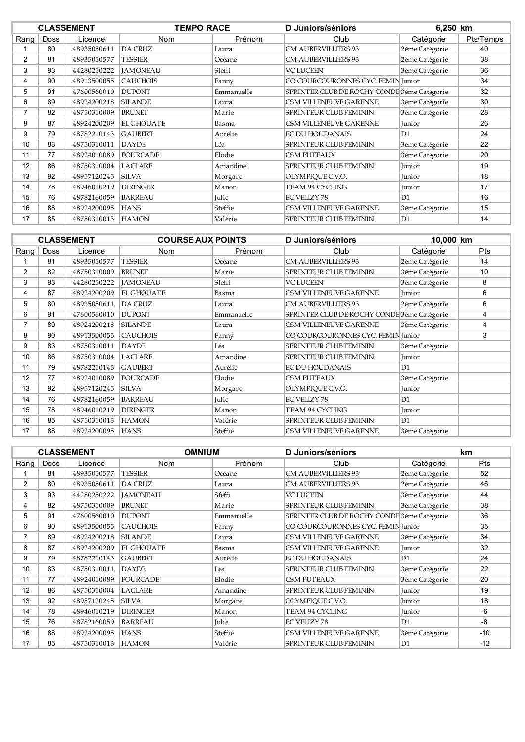|      |             | <b>CLASSEMENT</b> | <b>TEMPO RACE</b> |            | D Juniors/séniors                           | 6,250 km       |           |
|------|-------------|-------------------|-------------------|------------|---------------------------------------------|----------------|-----------|
| Rang | <b>Doss</b> | Licence           | <b>Nom</b>        | Prénom     | Club                                        | Catégorie      | Pts/Temps |
|      | 80          | 48935050611       | <b>DA CRUZ</b>    | Laura      | <b>CM AUBERVILLIERS 93</b>                  | 2ème Catégorie | 40        |
| 2    | 81          | 48935050577       | <b>TESSIER</b>    | Océane     | <b>CM AUBERVILLIERS 93</b>                  | 2ème Catégorie | 38        |
| 3    | 93          | 44280250222       | <b>JAMONEAU</b>   | Sfeffi     | <b>VC LUCEEN</b>                            | 3ème Catégorie | 36        |
| 4    | 90          | 48913500055       | <b>CAUCHOIS</b>   | Fanny      | CO COURCOURONNES CYC. FEMIN Junior          |                | 34        |
| 5    | 91          | 47600560010       | <b>DUPONT</b>     | Emmanuelle | SPRINTER CLUB DE ROCHY CONDE 3ème Catégorie |                | 32        |
| 6    | 89          | 48924200218       | <b>SILANDE</b>    | Laura      | CSM VILLENEUVE GARENNE                      | 3ème Catégorie | 30        |
| 7    | 82          | 48750310009       | <b>BRUNET</b>     | Marie      | SPRINTEUR CLUB FEMININ                      | 3ème Catégorie | 28        |
| 8    | 87          | 48924200209       | <b>EL GHOUATE</b> | Basma      | CSM VILLENEUVE GARENNE                      | Junior         | 26        |
| 9    | 79          | 48782210143       | <b>GAUBERT</b>    | Aurélie    | EC DU HOUDANAIS                             | D <sub>1</sub> | 24        |
| 10   | 83          | 48750310011       | <b>DAYDE</b>      | Léa        | SPRINTEUR CLUB FEMININ                      | 3ème Catégorie | 22        |
| 11   | 77          | 48924010089       | <b>FOURCADE</b>   | Elodie     | CSM PUTEAUX                                 | 3ème Catégorie | 20        |
| 12   | 86          | 48750310004       | <b>LACLARE</b>    | Amandine   | SPRINTEUR CLUB FEMININ                      | Junior         | 19        |
| 13   | 92          | 48957120245       | <b>SILVA</b>      | Morgane    | OLYMPIQUE C.V.O.                            | Junior         | 18        |
| 14   | 78          | 48946010219       | <b>DIRINGER</b>   | Manon      | <b>TEAM 94 CYCLING</b>                      | Junior         | 17        |
| 15   | 76          | 48782160059       | <b>BARREAU</b>    | Julie      | <b>EC VELIZY 78</b>                         | D1             | 16        |
| 16   | 88          | 48924200095       | <b>HANS</b>       | Steffie    | CSM VILLENEUVE GARENNE                      | 3ème Catégorie | 15        |
| 17   | 85          | 48750310013       | <b>HAMON</b>      | Valérie    | <b>SPRINTEUR CLUB FEMININ</b>               | D <sub>1</sub> | 14        |

|      |             | <b>CLASSEMENT</b> | <b>COURSE AUX POINTS</b> |            | D Juniors/séniors                           | 10,000 km      |            |
|------|-------------|-------------------|--------------------------|------------|---------------------------------------------|----------------|------------|
| Rang | <b>Doss</b> | Licence           | <b>Nom</b>               | Prénom     | Club                                        | Catégorie      | <b>Pts</b> |
|      | 81          | 48935050577       | <b>TESSIER</b>           | Océane     | <b>CM AUBERVILLIERS 93</b>                  | 2ème Catégorie | 14         |
| 2    | 82          | 48750310009       | <b>BRUNET</b>            | Marie      | <b>SPRINTEUR CLUB FEMININ</b>               | 3ème Catégorie | 10         |
| 3    | 93          | 44280250222       | <b>IAMONEAU</b>          | Sfeffi     | <b>VC LUCEEN</b>                            | 3ème Catégorie | 8          |
| 4    | 87          | 48924200209       | <b>EL GHOUATE</b>        | Basma      | CSM VILLENEUVE GARENNE                      | Junior         | 6          |
| 5    | 80          | 48935050611       | <b>DA CRUZ</b>           | Laura      | <b>CM AUBERVILLIERS 93</b>                  | 2ème Catégorie | 6          |
| 6    | 91          | 47600560010       | <b>DUPONT</b>            | Emmanuelle | SPRINTER CLUB DE ROCHY CONDE 3ème Catégorie |                | 4          |
| 7    | 89          | 48924200218       | <b>SILANDE</b>           | Laura      | CSM VILLENEUVE GARENNE                      | 3ème Catégorie | 4          |
| 8    | 90          | 48913500055       | <b>CAUCHOIS</b>          | Fanny      | CO COURCOURONNES CYC. FEMIN Junior          |                | 3          |
| 9    | 83          | 48750310011       | <b>DAYDE</b>             | Léa        | SPRINTEUR CLUB FEMININ                      | 3ème Catégorie |            |
| 10   | 86          | 48750310004       | <b>LACLARE</b>           | Amandine   | SPRINTEUR CLUB FEMININ                      | Junior         |            |
| 11   | 79          | 48782210143       | <b>GAUBERT</b>           | Aurélie    | EC DU HOUDANAIS                             | D1             |            |
| 12   | 77          | 48924010089       | <b>FOURCADE</b>          | Elodie     | CSM PUTEAUX                                 | 3ème Catégorie |            |
| 13   | 92          | 48957120245       | <b>SILVA</b>             | Morgane    | OLYMPIQUE C.V.O.                            | Junior         |            |
| 14   | 76          | 48782160059       | <b>BARREAU</b>           | Julie      | <b>EC VELIZY 78</b>                         | D1             |            |
| 15   | 78          | 48946010219       | <b>DIRINGER</b>          | Manon      | TEAM 94 CYCLING                             | Junior         |            |
| 16   | 85          | 48750310013       | <b>HAMON</b>             | Valérie    | SPRINTEUR CLUB FEMININ                      | D1             |            |
| 17   | 88          | 48924200095       | <b>HANS</b>              | Steffie    | CSM VILLENEUVE GARENNE                      | 3ème Catégorie |            |

|      |             | <b>CLASSEMENT</b> | <b>OMNIUM</b>     |            | D Juniors/séniors                  |                | <b>km</b>  |
|------|-------------|-------------------|-------------------|------------|------------------------------------|----------------|------------|
| Rang | <b>Doss</b> | Licence           | <b>Nom</b>        | Prénom     | Club                               | Catégorie      | <b>Pts</b> |
|      | 81          | 48935050577       | <b>TESSIER</b>    | Océane     | <b>CM AUBERVILLIERS 93</b>         | 2ème Catégorie | 52         |
| 2    | 80          | 48935050611       | DA CRUZ           | Laura      | <b>CM AUBERVILLIERS 93</b>         | 2ème Catégorie | 46         |
| 3    | 93          | 44280250222       | <b>JAMONEAU</b>   | Sfeffi     | <b>VC LUCEEN</b>                   | 3ème Catégorie | 44         |
| 4    | 82          | 48750310009       | <b>BRUNET</b>     | Marie      | SPRINTEUR CLUB FEMININ             | 3ème Catégorie | 38         |
| 5    | 91          | 47600560010       | <b>DUPONT</b>     | Emmanuelle | SPRINTER CLUB DE ROCHY CONDE       | 3ème Catégorie | 36         |
| 6    | 90          | 48913500055       | <b>CAUCHOIS</b>   | Fanny      | CO COURCOURONNES CYC. FEMIN Junior |                | 35         |
| 7    | 89          | 48924200218       | <b>SILANDE</b>    | Laura      | <b>CSM VILLENEUVE GARENNE</b>      | 3ème Catégorie | 34         |
| 8    | 87          | 48924200209       | <b>EL GHOUATE</b> | Basma      | CSM VILLENEUVE GARENNE             | Junior         | 32         |
| 9    | 79          | 48782210143       | <b>GAUBERT</b>    | Aurélie    | <b>EC DU HOUDANAIS</b>             | D1             | 24         |
| 10   | 83          | 48750310011       | <b>DAYDE</b>      | Léa        | SPRINTEUR CLUB FEMININ             | 3ème Catégorie | 22         |
| 11   | 77          | 48924010089       | FOURCADE          | Elodie     | <b>CSM PUTEAUX</b>                 | 3ème Catégorie | 20         |
| 12   | 86          | 48750310004       | <b>LACLARE</b>    | Amandine   | SPRINTEUR CLUB FEMININ             | Junior         | 19         |
| 13   | 92          | 48957120245       | <b>SILVA</b>      | Morgane    | OLYMPIQUE C.V.O.                   | Junior         | 18         |
| 14   | 78          | 48946010219       | <b>DIRINGER</b>   | Manon      | <b>TEAM 94 CYCLING</b>             | Junior         | -6         |
| 15   | 76          | 48782160059       | <b>BARREAU</b>    | Julie      | <b>EC VELIZY 78</b>                | D1             | -8         |
| 16   | 88          | 48924200095       | <b>HANS</b>       | Steffie    | CSM VILLENEUVE GARENNE             | 3ème Catégorie | $-10$      |
| 17   | 85          | 48750310013       | <b>HAMON</b>      | Valérie    | SPRINTEUR CLUB FEMININ             | D1             | $-12$      |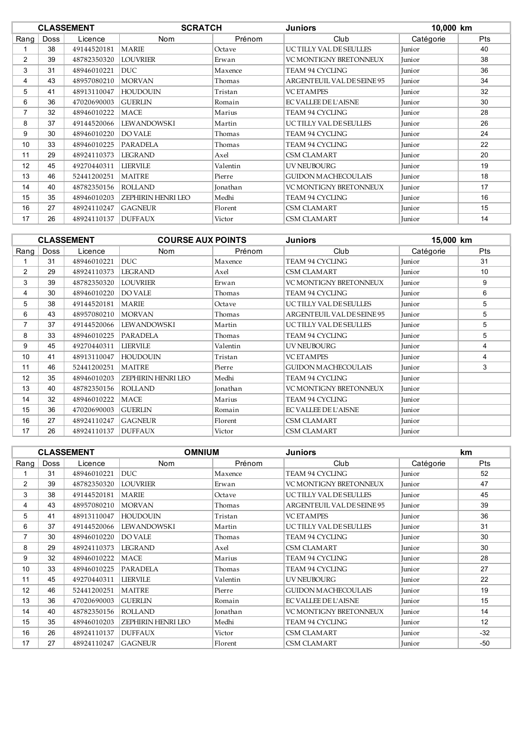|                | <b>SCRATCH</b><br><b>CLASSEMENT</b><br>Juniors |             |                           | 10,000 km |                               |           |     |
|----------------|------------------------------------------------|-------------|---------------------------|-----------|-------------------------------|-----------|-----|
| Rang           | <b>Doss</b>                                    | Licence     | Nom                       | Prénom    | Club                          | Catégorie | Pts |
|                | 38                                             | 49144520181 | <b>MARIE</b>              | Octave    | UC TILLY VAL DE SEULLES       | Junior    | 40  |
| $\overline{2}$ | 39                                             | 48782350320 | <b>LOUVRIER</b>           | Erwan     | <b>VC MONTIGNY BRETONNEUX</b> | Junior    | 38  |
| 3              | 31                                             | 48946010221 | <b>DUC</b>                | Maxence   | <b>TEAM 94 CYCLING</b>        | Junior    | 36  |
| 4              | 43                                             | 48957080210 | <b>MORVAN</b>             | Thomas    | ARGENTEUIL VAL DE SEINE 95    | Junior    | 34  |
| 5              | 41                                             | 48913110047 | <b>HOUDOUIN</b>           | Tristan   | <b>VC ETAMPES</b>             | Junior    | 32  |
| 6              | 36                                             | 47020690003 | <b>GUERLIN</b>            | Romain    | <b>EC VALLEE DE L'AISNE</b>   | Junior    | 30  |
| 7              | 32                                             | 48946010222 | <b>MACE</b>               | Marius    | <b>TEAM 94 CYCLING</b>        | Junior    | 28  |
| 8              | 37                                             | 49144520066 | <b>LEWANDOWSKI</b>        | Martin    | UC TILLY VAL DE SEULLES       | Junior    | 26  |
| 9              | 30                                             | 48946010220 | <b>DO VALE</b>            | Thomas    | <b>TEAM 94 CYCLING</b>        | Junior    | 24  |
| 10             | 33                                             | 48946010225 | PARADELA                  | Thomas    | <b>TEAM 94 CYCLING</b>        | Junior    | 22  |
| 11             | 29                                             | 48924110373 | <b>LEGRAND</b>            | Axel      | <b>CSM CLAMART</b>            | Junior    | 20  |
| 12             | 45                                             | 49270440311 | <b>LIERVILE</b>           | Valentin  | <b>UV NEUBOURG</b>            | Junior    | 19  |
| 13             | 46                                             | 52441200251 | <b>MAITRE</b>             | Pierre    | <b>GUIDON MACHECOULAIS</b>    | Junior    | 18  |
| 14             | 40                                             | 48782350156 | <b>ROLLAND</b>            | Jonathan  | <b>VC MONTIGNY BRETONNEUX</b> | Junior    | 17  |
| 15             | 35                                             | 48946010203 | <b>ZEPHIRIN HENRI LEO</b> | Medhi     | <b>TEAM 94 CYCLING</b>        | Junior    | 16  |
| 16             | 27                                             | 48924110247 | <b>GAGNEUR</b>            | Florent   | <b>CSM CLAMART</b>            | Junior    | 15  |
| 17             | 26                                             | 48924110137 | <b>DUFFAUX</b>            | Victor    | <b>CSM CLAMART</b>            | Junior    | 14  |

|      |             | <b>CLASSEMENT</b> | <b>COURSE AUX POINTS</b>  |          | <b>Juniors</b>              | 15,000 km     |            |
|------|-------------|-------------------|---------------------------|----------|-----------------------------|---------------|------------|
| Rang | <b>Doss</b> | Licence           | Nom                       | Prénom   | Club                        | Catégorie     | <b>Pts</b> |
|      | 31          | 48946010221       | <b>DUC</b>                | Maxence  | <b>TEAM 94 CYCLING</b>      | Junior        | 31         |
| 2    | 29          | 48924110373       | LEGRAND                   | Axel     | <b>CSM CLAMART</b>          | <b>Iunior</b> | 10         |
| 3    | 39          | 48782350320       | LOUVRIER                  | Erwan    | VC MONTIGNY BRETONNEUX      | Junior        | 9          |
| 4    | 30          | 48946010220       | <b>DO VALE</b>            | Thomas   | TEAM 94 CYCLING             | Junior        | 6          |
| 5    | 38          | 49144520181       | <b>MARIE</b>              | Octave   | UC TILLY VAL DE SEULLES     | Junior        | 5          |
| 6    | 43          | 48957080210       | <b>MORVAN</b>             | Thomas   | ARGENTEUIL VAL DE SEINE 95  | Junior        | 5          |
| 7    | 37          | 49144520066       | <b>LEWANDOWSKI</b>        | Martin   | UCTILLY VAL DESEULLES       | Junior        | 5          |
| 8    | 33          | 48946010225       | <b>PARADELA</b>           | Thomas   | TEAM 94 CYCLING             | Junior        | 5          |
| 9    | 45          | 49270440311       | <b>LIERVILE</b>           | Valentin | <b>UV NEUBOURG</b>          | Junior        | 4          |
| 10   | 41          | 48913110047       | <b>HOUDOUIN</b>           | Tristan  | <b>VCETAMPES</b>            | <b>Iunior</b> | 4          |
| 11   | 46          | 52441200251       | <b>MAITRE</b>             | Pierre   | <b>GUIDON MACHECOULAIS</b>  | Junior        | 3          |
| 12   | 35          | 48946010203       | <b>ZEPHIRIN HENRI LEO</b> | Medhi    | TEAM 94 CYCLING             | Junior        |            |
| 13   | 40          | 48782350156       | <b>ROLLAND</b>            | Jonathan | VC MONTIGNY BRETONNEUX      | Junior        |            |
| 14   | 32          | 48946010222       | <b>MACE</b>               | Marius   | TEAM 94 CYCLING             | Junior        |            |
| 15   | 36          | 47020690003       | <b>GUERLIN</b>            | Romain   | <b>EC VALLEE DE L'AISNE</b> | Junior        |            |
| 16   | 27          | 48924110247       | <b>GAGNEUR</b>            | Florent  | <b>CSM CLAMART</b>          | Junior        |            |
| 17   | 26          | 48924110137       | <b>DUFFAUX</b>            | Victor   | <b>CSM CLAMART</b>          | Junior        |            |

|      |             | <b>CLASSEMENT</b> |                           | <b>OMNIUM</b><br><b>Juniors</b> |                               | <b>km</b> |            |
|------|-------------|-------------------|---------------------------|---------------------------------|-------------------------------|-----------|------------|
| Rang | <b>Doss</b> | Licence           | <b>Nom</b>                | Prénom                          | Club                          | Catégorie | <b>Pts</b> |
|      | 31          | 48946010221       | <b>DUC</b>                | Maxence                         | <b>TEAM 94 CYCLING</b>        | Junior    | 52         |
| 2    | 39          | 48782350320       | <b>LOUVRIER</b>           | Erwan                           | VC MONTIGNY BRETONNEUX        | Junior    | 47         |
| 3    | 38          | 49144520181       | <b>MARIE</b>              | Octave                          | UC TILLY VAL DE SEULLES       | Junior    | 45         |
| 4    | 43          | 48957080210       | <b>MORVAN</b>             | Thomas                          | ARGENTEUIL VAL DE SEINE 95    | Junior    | 39         |
| 5    | 41          | 48913110047       | <b>HOUDOUIN</b>           | Tristan                         | <b>VC ETAMPES</b>             | Junior    | 36         |
| 6    | 37          | 49144520066       | <b>LEWANDOWSKI</b>        | Martin                          | UC TILLY VAL DE SEULLES       | Junior    | 31         |
| 7    | 30          | 48946010220       | <b>DO VALE</b>            | Thomas                          | <b>TEAM 94 CYCLING</b>        | Junior    | 30         |
| 8    | 29          | 48924110373       | <b>LEGRAND</b>            | Axel                            | <b>CSM CLAMART</b>            | Junior    | 30         |
| 9    | 32          | 48946010222       | MACE                      | Marius                          | <b>TEAM 94 CYCLING</b>        | Junior    | 28         |
| 10   | 33          | 48946010225       | <b>PARADELA</b>           | Thomas                          | <b>TEAM 94 CYCLING</b>        | Junior    | 27         |
| 11   | 45          | 49270440311       | <b>LIERVILE</b>           | Valentin                        | UV NEUBOURG                   | Junior    | 22         |
| 12   | 46          | 52441200251       | <b>MAITRE</b>             | Pierre                          | <b>GUIDON MACHECOULAIS</b>    | Junior    | 19         |
| 13   | 36          | 47020690003       | <b>GUERLIN</b>            | Romain                          | <b>EC VALLEE DE L'AISNE</b>   | Junior    | 15         |
| 14   | 40          | 48782350156       | <b>ROLLAND</b>            | Jonathan                        | <b>VC MONTIGNY BRETONNEUX</b> | Junior    | 14         |
| 15   | 35          | 48946010203       | <b>ZEPHIRIN HENRI LEO</b> | Medhi                           | <b>TEAM 94 CYCLING</b>        | Junior    | 12         |
| 16   | 26          | 48924110137       | <b>DUFFAUX</b>            | Victor                          | <b>CSM CLAMART</b>            | Junior    | $-32$      |
| 17   | 27          | 48924110247       | <b>GAGNEUR</b>            | Florent                         | <b>CSM CLAMART</b>            | Junior    | $-50$      |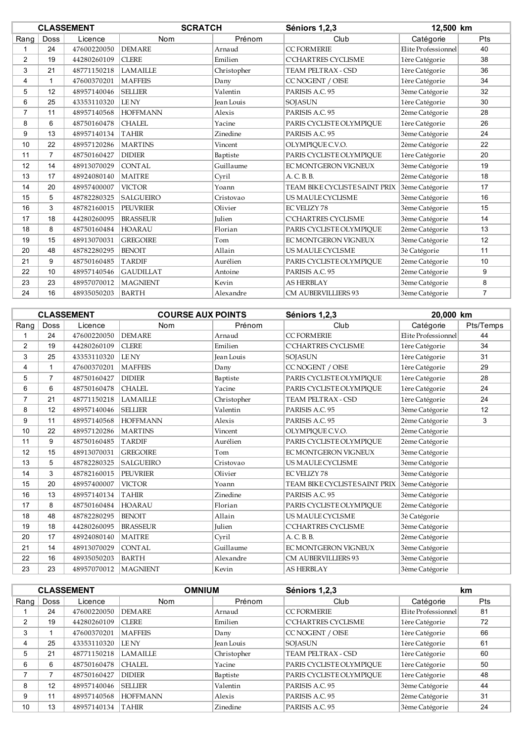|                |                 | <b>CLASSEMENT</b> | <b>SCRATCH</b>   |               | Séniors 1,2,3                 | 12,500 km           |                |
|----------------|-----------------|-------------------|------------------|---------------|-------------------------------|---------------------|----------------|
| Rang           | <b>Doss</b>     | Licence           | Nom              | Prénom        | Club                          | Catégorie           | Pts            |
| 1              | 24              | 47600220050       | <b>DEMARE</b>    | Arnaud        | <b>CC FORMERIE</b>            | Elite Professionnel | 40             |
| $\overline{2}$ | 19              | 44280260109       | <b>CLERE</b>     | Emilien       | <b>C'CHARTRES CYCLISME</b>    | 1ère Catégorie      | 38             |
| 3              | 21              | 48771150218       | <b>LAMAILLE</b>  | Christopher   | TEAM PELTRAX - CSD            | 1ère Catégorie      | 36             |
| 4              | $\mathbf 1$     | 47600370201       | <b>MAFFEIS</b>   | Dany          | <b>CC NOGENT / OISE</b>       | 1ère Catégorie      | 34             |
| 5              | 12              | 48957140046       | <b>SELLIER</b>   | Valentin      | PARISIS A.C. 95               | 3ème Catégorie      | 32             |
| 6              | 25              | 43353110320       | <b>LENY</b>      | Jean Louis    | SOJASUN                       | 1ère Catégorie      | 30             |
| 7              | 11              | 48957140568       | <b>HOFFMANN</b>  | Alexis        | PARISIS A.C. 95               | 2ème Catégorie      | 28             |
| 8              | 6               | 48750160478       | <b>CHALEL</b>    | Yacine        | PARIS CYCLISTE OLYMPIOUE      | 1ère Catégorie      | 26             |
| 9              | 13              | 48957140134       | <b>TAHIR</b>     | Zinedine      | PARISIS A.C. 95               | 3ème Catégorie      | 24             |
| 10             | 22              | 48957120286       | <b>MARTINS</b>   | Vincent       | OLYMPIOUE C.V.O.              | 2ème Catégorie      | 22             |
| 11             | $\overline{7}$  | 48750160427       | <b>DIDIER</b>    | Baptiste      | PARIS CYCLISTE OLYMPIOUE      | 1ère Catégorie      | 20             |
| 12             | 14              | 48913070029       | <b>CONTAL</b>    | Guillaume     | EC MONTGERON VIGNEUX          | 3ème Catégorie      | 19             |
| 13             | 17              | 48924080140       | <b>MAITRE</b>    | Cvril         | A. C. B. B.                   | 2ème Catégorie      | 18             |
| 14             | 20              | 48957400007       | <b>VICTOR</b>    | Yoann         | TEAM BIKE CYCLISTE SAINT PRIX | 3ème Catégorie      | 17             |
| 15             | 5               | 48782280325       | <b>SALGUEIRO</b> | Cristovao     | US MAULE CYCLISME             | 3ème Catégorie      | 16             |
| 16             | 3               | 48782160015       | <b>PEUVRIER</b>  | Olivier       | <b>EC VELIZY 78</b>           | 3ème Catégorie      | 15             |
| 17             | 18              | 44280260095       | <b>BRASSEUR</b>  | <b>Julien</b> | <b>C'CHARTRES CYCLISME</b>    | 3ème Catégorie      | 14             |
| 18             | 8               | 48750160484       | <b>HOARAU</b>    | Florian       | PARIS CYCLISTE OLYMPIOUE      | 2ème Catégorie      | 13             |
| 19             | 15              | 48913070031       | <b>GREGOIRE</b>  | Tom           | EC MONTGERON VIGNEUX          | 3ème Catégorie      | 12             |
| 20             | 48              | 48782280295       | <b>BENOIT</b>    | Allain        | US MAULE CYCLSME              | 3è Catégorie        | 11             |
| 21             | 9               | 48750160485       | <b>TARDIF</b>    | Aurélien      | PARIS CYCLISTE OLYMPIQUE      | 2ème Catégorie      | 10             |
| 22             | 10 <sup>1</sup> | 48957140546       | <b>GAUDILLAT</b> | Antoine       | PARISIS A.C. 95               | 2ème Catégorie      | 9              |
| 23             | 23              | 48957070012       | <b>MAGNIENT</b>  | Kevin         | <b>AS HERBLAY</b>             | 3ème Catégorie      | 8              |
| 24             | 16              | 48935050203       | <b>BARTH</b>     | Alexandre     | <b>CM AUBERVILLIERS 93</b>    | 3ème Catégorie      | $\overline{7}$ |

|                |                | <b>CLASSEMENT</b> | <b>COURSE AUX POINTS</b> |               | Séniors 1,2,3                 | 20,000 km           |           |
|----------------|----------------|-------------------|--------------------------|---------------|-------------------------------|---------------------|-----------|
| Rang           | <b>Doss</b>    | Licence           | Nom                      | Prénom        | Club                          | Catégorie           | Pts/Temps |
| 1              | 24             | 47600220050       | <b>DEMARE</b>            | Arnaud        | <b>CC FORMERIE</b>            | Elite Professionnel | 44        |
| $\overline{2}$ | 19             | 44280260109       | <b>CLERE</b>             | Emilien       | <b>C'CHARTRES CYCLISME</b>    | 1ère Catégorie      | 34        |
| 3              | 25             | 43353110320       | <b>LENY</b>              | Jean Louis    | <b>SOJASUN</b>                | 1ère Catégorie      | 31        |
| 4              | 1              | 47600370201       | <b>MAFFEIS</b>           | Dany          | <b>CCNOGENT / OISE</b>        | 1ère Catégorie      | 29        |
| 5              | $\overline{7}$ | 48750160427       | <b>DIDIER</b>            | Baptiste      | PARIS CYCLISTE OLYMPIOUE      | 1ère Catégorie      | 28        |
| 6              | 6              | 48750160478       | <b>CHALEL</b>            | Yacine        | PARIS CYCLISTE OLYMPIOUE      | 1ère Catégorie      | 24        |
| 7              | 21             | 48771150218       | <b>LAMAILLE</b>          | Christopher   | TEAM PELTRAX - CSD            | 1ère Catégorie      | 24        |
| 8              | 12             | 48957140046       | <b>SELLIER</b>           | Valentin      | PARISIS A.C. 95               | 3ème Catégorie      | 12        |
| 9              | 11             | 48957140568       | <b>HOFFMANN</b>          | Alexis        | PARISIS A.C. 95               | 2ème Catégorie      | 3         |
| 10             | 22             | 48957120286       | <b>MARTINS</b>           | Vincent       | OLYMPIQUE C.V.O.              | 2ème Catégorie      |           |
| 11             | 9              | 48750160485       | <b>TARDIF</b>            | Aurélien      | PARIS CYCLISTE OLYMPIOUE      | 2ème Catégorie      |           |
| 12             | 15             | 48913070031       | <b>GREGOIRE</b>          | Tom           | EC MONTGERON VIGNEUX          | 3ème Catégorie      |           |
| 13             | 5              | 48782280325       | <b>SALGUEIRO</b>         | Cristovao     | US MAULE CYCLISME             | 3ème Catégorie      |           |
| 14             | 3              | 48782160015       | <b>PEUVRIER</b>          | Olivier       | <b>EC VELIZY 78</b>           | 3ème Catégorie      |           |
| 15             | 20             | 48957400007       | <b>VICTOR</b>            | Yoann         | TEAM BIKE CYCLISTE SAINT PRIX | 3ème Catégorie      |           |
| 16             | 13             | 48957140134       | <b>TAHIR</b>             | Zinedine      | PARISIS A.C. 95               | 3ème Catégorie      |           |
| 17             | 8              | 48750160484       | <b>HOARAU</b>            | Florian       | PARIS CYCLISTE OLYMPIOUE      | 2ème Catégorie      |           |
| 18             | 48             | 48782280295       | <b>BENOIT</b>            | Allain        | US MAULE CYCLSME              | 3è Catégorie        |           |
| 19             | 18             | 44280260095       | <b>BRASSEUR</b>          | <b>Julien</b> | <b>C'CHARTRES CYCLISME</b>    | 3ème Catégorie      |           |
| 20             | 17             | 48924080140       | <b>MAITRE</b>            | Cvril         | A. C. B. B.                   | 2ème Catégorie      |           |
| 21             | 14             | 48913070029       | <b>CONTAL</b>            | Guillaume     | EC MONTGERON VIGNEUX          | 3ème Catégorie      |           |
| 22             | 16             | 48935050203       | <b>BARTH</b>             | Alexandre     | <b>CM AUBERVILLIERS 93</b>    | 3ème Catégorie      |           |
| 23             | 23             | 48957070012       | <b>MAGNIENT</b>          | Kevin         | <b>AS HERBLAY</b>             | 3ème Catégorie      |           |

|      |                   | <b>CLASSEMENT</b> |                 | Séniors 1,2,3<br><b>OMNIUM</b> |                          | <b>km</b>           |            |
|------|-------------------|-------------------|-----------------|--------------------------------|--------------------------|---------------------|------------|
| Rang | Doss              | Licence           | <b>Nom</b>      | Prénom                         | Club                     | Catégorie           | <b>Pts</b> |
|      | 24                | 47600220050       | <b>DEMARE</b>   | Arnaud                         | <b>CC FORMERIE</b>       | Elite Professionnel | 81         |
| 2    | 19                | 44280260109       | I CLERE         | Emilien                        | C'CHARTRES CYCLISME      | 1ère Catégorie      | 72         |
| 3    |                   | 47600370201       | <b>MAFFEIS</b>  | Dany                           | CC NOGENT / OISE         | 1ère Catégorie      | 66         |
|      | 25                | 43353110320       | <b>LENY</b>     | <b>Jean Louis</b>              | <b>SOJASUN</b>           | 1ère Catégorie      | 61         |
| 5    | 21                | 48771150218       | <b>LAMAILLE</b> | Christopher                    | TEAM PELTRAX - CSD       | 1ère Catégorie      | 60         |
| 6    | 6                 | 48750160478       | CHALEL.         | Yacine                         | PARIS CYCLISTE OLYMPIOUE | 1ère Catégorie      | 50         |
|      |                   | 48750160427       | <b>DIDIER</b>   | Baptiste                       | PARIS CYCLISTE OLYMPIOUE | 1ère Catégorie      | 48         |
| 8    | $12 \overline{ }$ | 48957140046       | <b>SELLIER</b>  | Valentin                       | PARISIS A.C. 95          | 3ème Catégorie      | 44         |
| 9    | 11                | 48957140568       | <b>HOFFMANN</b> | Alexis                         | PARISIS A.C. 95          | 2ème Catégorie      | 31         |
| 10   | 13                | 48957140134       | TAHIR           | Zinedine                       | PARISIS A.C. 95          | 3ème Catégorie      | 24         |